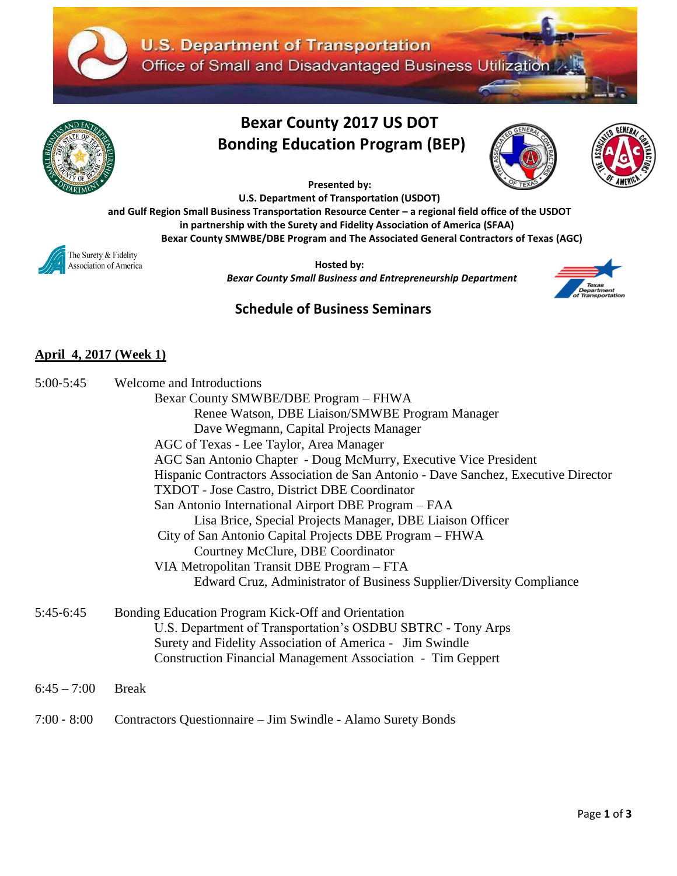



# **Bexar County 2017 US DOT Bonding Education Program (BEP)**





**Presented by:**

**U.S. Department of Transportation (USDOT)** 

**and Gulf Region Small Business Transportation Resource Center – a regional field office of the USDOT in partnership with the Surety and Fidelity Association of America (SFAA)**

**Bexar County SMWBE/DBE Program and The Associated General Contractors of Texas (AGC)**

The Surety & Fidelity Association of America

 **Hosted by:** *Bexar County Small Business and Entrepreneurship Department*



## **Schedule of Business Seminars**

### **April 4, 2017 (Week 1)**

| $5:00 - 5:45$ | Welcome and Introductions                                                          |
|---------------|------------------------------------------------------------------------------------|
|               | Bexar County SMWBE/DBE Program - FHWA                                              |
|               | Renee Watson, DBE Liaison/SMWBE Program Manager                                    |
|               | Dave Wegmann, Capital Projects Manager                                             |
|               | AGC of Texas - Lee Taylor, Area Manager                                            |
|               | AGC San Antonio Chapter - Doug McMurry, Executive Vice President                   |
|               | Hispanic Contractors Association de San Antonio - Dave Sanchez, Executive Director |
|               | <b>TXDOT</b> - Jose Castro, District DBE Coordinator                               |
|               | San Antonio International Airport DBE Program – FAA                                |
|               | Lisa Brice, Special Projects Manager, DBE Liaison Officer                          |
|               | City of San Antonio Capital Projects DBE Program - FHWA                            |
|               | Courtney McClure, DBE Coordinator                                                  |
|               | VIA Metropolitan Transit DBE Program – FTA                                         |
|               | Edward Cruz, Administrator of Business Supplier/Diversity Compliance               |
| $5:45-6:45$   | Bonding Education Program Kick-Off and Orientation                                 |
|               | U.S. Department of Transportation's OSDBU SBTRC - Tony Arps                        |
|               | Surety and Fidelity Association of America - Jim Swindle                           |
|               | <b>Construction Financial Management Association - Tim Geppert</b>                 |
| $6:45 - 7:00$ | <b>Break</b>                                                                       |
| $7:00 - 8:00$ | Contractors Questionnaire – Jim Swindle - Alamo Surety Bonds                       |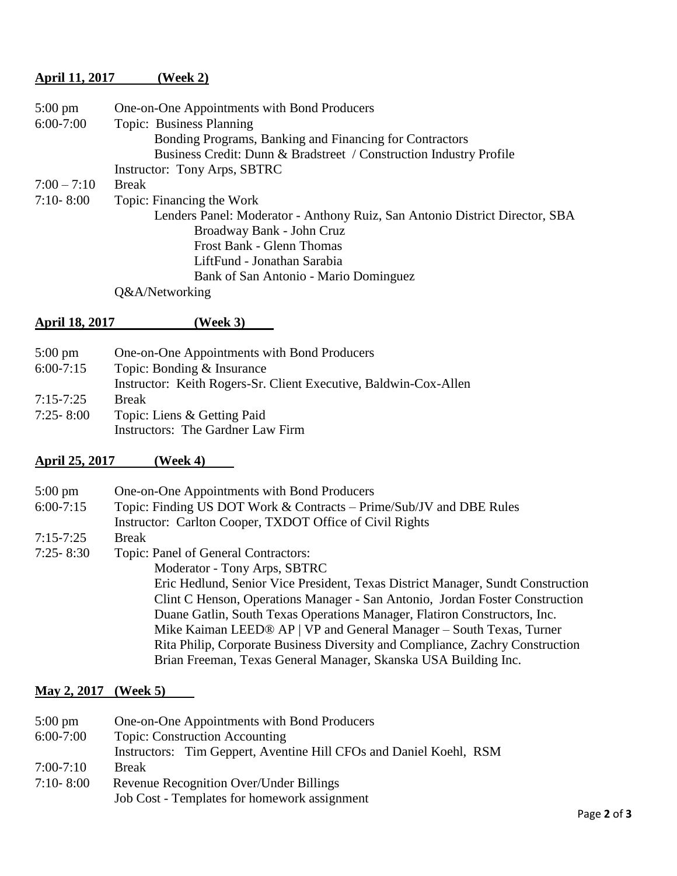#### **April 11, 2017 (Week 2)**

| $5:00 \text{ pm}$ | One-on-One Appointments with Bond Producers                                 |
|-------------------|-----------------------------------------------------------------------------|
| $6:00-7:00$       | Topic: Business Planning                                                    |
|                   | Bonding Programs, Banking and Financing for Contractors                     |
|                   | Business Credit: Dunn & Bradstreet / Construction Industry Profile          |
|                   | Instructor: Tony Arps, SBTRC                                                |
| $7:00 - 7:10$     | <b>Break</b>                                                                |
| $7:10 - 8:00$     | Topic: Financing the Work                                                   |
|                   | Lenders Panel: Moderator - Anthony Ruiz, San Antonio District Director, SBA |
|                   | Broadway Bank - John Cruz                                                   |
|                   | Frost Bank - Glenn Thomas                                                   |
|                   | LiftFund - Jonathan Sarabia                                                 |
|                   | Bank of San Antonio - Mario Dominguez                                       |
|                   | Q&A/Networking                                                              |
|                   |                                                                             |

#### **April 18, 2017 (Week 3)**

5:00 pm One-on-One Appointments with Bond Producers 6:00‐7:15 Topic: Bonding & Insurance Instructor: Keith Rogers-Sr. Client Executive, Baldwin-Cox-Allen 7:15‐7:25 Break 7:25‐ 8:00 Topic: Liens & Getting Paid Instructors: The Gardner Law Firm

#### **April 25, 2017 (Week 4)**

| $5:00 \text{ pm}$ | One-on-One Appointments with Bond Producers                                     |
|-------------------|---------------------------------------------------------------------------------|
| $6:00-7:15$       | Topic: Finding US DOT Work & Contracts – Prime/Sub/JV and DBE Rules             |
|                   | Instructor: Carlton Cooper, TXDOT Office of Civil Rights                        |
| $7:15 - 7:25$     | <b>Break</b>                                                                    |
| $7:25 - 8:30$     | Topic: Panel of General Contractors:                                            |
|                   | Moderator - Tony Arps, SBTRC                                                    |
|                   | Eric Hedlund, Senior Vice President, Texas District Manager, Sundt Construction |
|                   | Clint C Henson, Operations Manager - San Antonio, Jordan Foster Construction    |
|                   | Duane Gatlin, South Texas Operations Manager, Flatiron Constructors, Inc.       |
|                   | Mike Kaiman LEED® AP   VP and General Manager $-$ South Texas, Turner           |
|                   | Rita Philip, Corporate Business Diversity and Compliance, Zachry Construction   |
|                   | Brian Freeman, Texas General Manager, Skanska USA Building Inc.                 |

#### **May 2, 2017 (Week 5)**

| $5:00 \text{ pm}$ | One-on-One Appointments with Bond Producers                        |
|-------------------|--------------------------------------------------------------------|
| $6:00 - 7:00$     | <b>Topic: Construction Accounting</b>                              |
|                   | Instructors: Tim Geppert, Aventine Hill CFOs and Daniel Koehl, RSM |
| $7:00 - 7:10$     | <b>Break</b>                                                       |
| $7:10 - 8:00$     | <b>Revenue Recognition Over/Under Billings</b>                     |
|                   | Job Cost - Templates for homework assignment                       |